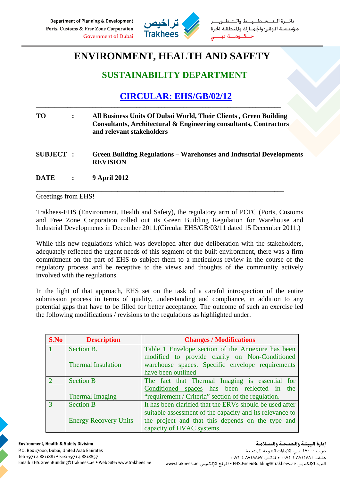

طــيــط والــتـ مؤسسة الموانئ والجمارك والمنطقة الحرة

## **ENVIRONMENT, HEALTH AND SAFETY**

## **SUSTAINABILITY DEPARTMENT**

## **CIRCULAR: EHS/GB/02/12**

| <b>TO</b>        | $\ddot{\cdot}$ | All Business Units Of Dubai World, Their Clients, Green Building<br>Consultants, Architectural & Engineering consultants, Contractors<br>and relevant stakeholders |
|------------------|----------------|--------------------------------------------------------------------------------------------------------------------------------------------------------------------|
| <b>SUBJECT :</b> |                | <b>Green Building Regulations – Warehouses and Industrial Developments</b><br><b>REVISION</b>                                                                      |
| <b>DATE</b>      | $\mathbf{r}$   | <b>9 April 2012</b>                                                                                                                                                |

\_\_\_\_\_\_\_\_\_\_\_\_\_\_\_\_\_\_\_\_\_\_\_\_\_\_\_\_\_\_\_\_\_\_\_\_\_\_\_\_\_\_\_\_\_\_\_\_\_\_\_\_\_\_\_\_\_\_\_\_\_\_\_\_\_\_\_\_\_\_\_\_\_\_\_\_\_\_\_

\_\_\_\_\_\_\_\_\_\_\_\_\_\_\_\_\_\_\_\_\_\_\_\_\_\_\_\_\_\_\_\_\_\_\_\_\_\_\_\_\_\_\_\_\_\_\_\_\_\_\_\_\_\_\_\_\_\_\_\_\_\_\_\_\_\_\_\_\_\_\_\_\_\_\_\_\_\_

## Greetings from EHS!

Trakhees-EHS (Environment, Health and Safety), the regulatory arm of PCFC (Ports, Customs and Free Zone Corporation rolled out its Green Building Regulation for Warehouse and Industrial Developments in December 2011.(Circular EHS/GB/03/11 dated 15 December 2011.)

While this new regulations which was developed after due deliberation with the stakeholders, adequately reflected the urgent needs of this segment of the built environment, there was a firm commitment on the part of EHS to subject them to a meticulous review in the course of the regulatory process and be receptive to the views and thoughts of the community actively involved with the regulations.

In the light of that approach, EHS set on the task of a careful introspection of the entire submission process in terms of quality, understanding and compliance, in addition to any potential gaps that have to be filled for better acceptance. The outcome of such an exercise led the following modifications / revisions to the regulations as highlighted under.

| S.No          | <b>Description</b>           | <b>Changes / Modifications</b>                           |
|---------------|------------------------------|----------------------------------------------------------|
| 1             | Section B.                   | Table 1 Envelope section of the Annexure has been        |
|               |                              | modified to provide clarity on Non-Conditioned           |
|               | <b>Thermal Insulation</b>    | warehouse spaces. Specific envelope requirements         |
|               |                              | have been outlined                                       |
| $\mathcal{D}$ | <b>Section B</b>             | The fact that Thermal Imaging is essential for           |
|               |                              | Conditioned spaces has been reflected in the             |
|               | <b>Thermal Imaging</b>       | "requirement / Criteria" section of the regulation.      |
| 3             | <b>Section B</b>             | It has been clarified that the ERVs should be used after |
|               |                              | suitable assessment of the capacity and its relevance to |
|               | <b>Energy Recovery Units</b> | the project and that this depends on the type and        |
|               |                              | capacity of HVAC systems.                                |